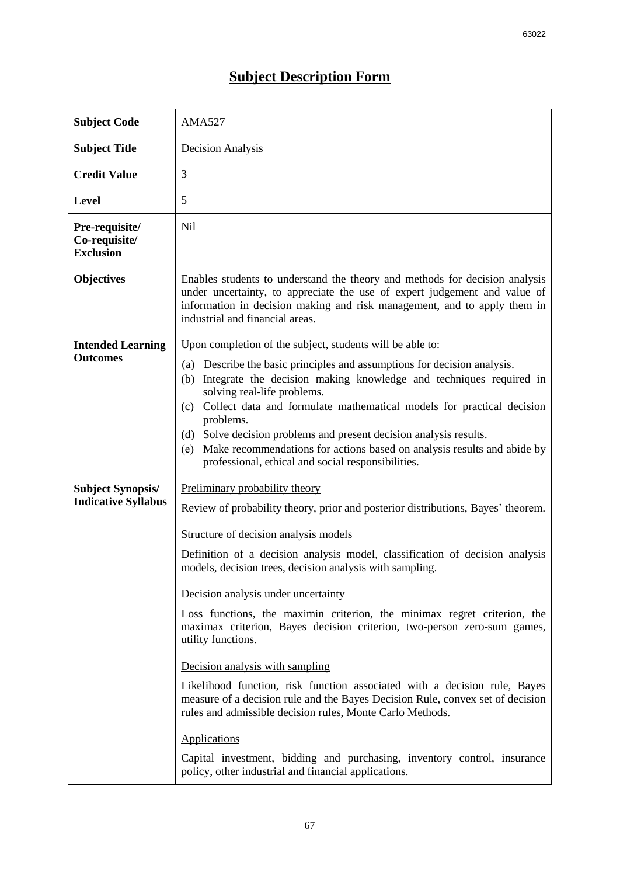## **Subject Description Form**

| <b>Subject Code</b>                                    | <b>AMA527</b>                                                                                                                                                                                                                                                                                                                                                                                                                                   |  |  |  |
|--------------------------------------------------------|-------------------------------------------------------------------------------------------------------------------------------------------------------------------------------------------------------------------------------------------------------------------------------------------------------------------------------------------------------------------------------------------------------------------------------------------------|--|--|--|
| <b>Subject Title</b>                                   | <b>Decision Analysis</b>                                                                                                                                                                                                                                                                                                                                                                                                                        |  |  |  |
| <b>Credit Value</b>                                    | 3                                                                                                                                                                                                                                                                                                                                                                                                                                               |  |  |  |
| <b>Level</b>                                           | 5                                                                                                                                                                                                                                                                                                                                                                                                                                               |  |  |  |
| Pre-requisite/<br>Co-requisite/<br><b>Exclusion</b>    | <b>Nil</b>                                                                                                                                                                                                                                                                                                                                                                                                                                      |  |  |  |
| <b>Objectives</b>                                      | Enables students to understand the theory and methods for decision analysis<br>under uncertainty, to appreciate the use of expert judgement and value of<br>information in decision making and risk management, and to apply them in<br>industrial and financial areas.                                                                                                                                                                         |  |  |  |
| <b>Intended Learning</b>                               | Upon completion of the subject, students will be able to:                                                                                                                                                                                                                                                                                                                                                                                       |  |  |  |
| <b>Outcomes</b>                                        | Describe the basic principles and assumptions for decision analysis.<br>(a)<br>Integrate the decision making knowledge and techniques required in<br>(b)<br>solving real-life problems.<br>Collect data and formulate mathematical models for practical decision<br>(c)<br>problems.<br>Solve decision problems and present decision analysis results.<br>(d)<br>Make recommendations for actions based on analysis results and abide by<br>(e) |  |  |  |
|                                                        | professional, ethical and social responsibilities.                                                                                                                                                                                                                                                                                                                                                                                              |  |  |  |
| <b>Subject Synopsis/</b><br><b>Indicative Syllabus</b> | Preliminary probability theory<br>Review of probability theory, prior and posterior distributions, Bayes' theorem.                                                                                                                                                                                                                                                                                                                              |  |  |  |
|                                                        | Structure of decision analysis models                                                                                                                                                                                                                                                                                                                                                                                                           |  |  |  |
|                                                        | Definition of a decision analysis model, classification of decision analysis<br>models, decision trees, decision analysis with sampling.                                                                                                                                                                                                                                                                                                        |  |  |  |
|                                                        | Decision analysis under uncertainty                                                                                                                                                                                                                                                                                                                                                                                                             |  |  |  |
|                                                        | Loss functions, the maximin criterion, the minimax regret criterion, the<br>maximax criterion, Bayes decision criterion, two-person zero-sum games,<br>utility functions.                                                                                                                                                                                                                                                                       |  |  |  |
|                                                        | Decision analysis with sampling                                                                                                                                                                                                                                                                                                                                                                                                                 |  |  |  |
|                                                        | Likelihood function, risk function associated with a decision rule, Bayes<br>measure of a decision rule and the Bayes Decision Rule, convex set of decision<br>rules and admissible decision rules, Monte Carlo Methods.                                                                                                                                                                                                                        |  |  |  |
|                                                        | Applications                                                                                                                                                                                                                                                                                                                                                                                                                                    |  |  |  |
|                                                        | Capital investment, bidding and purchasing, inventory control, insurance<br>policy, other industrial and financial applications.                                                                                                                                                                                                                                                                                                                |  |  |  |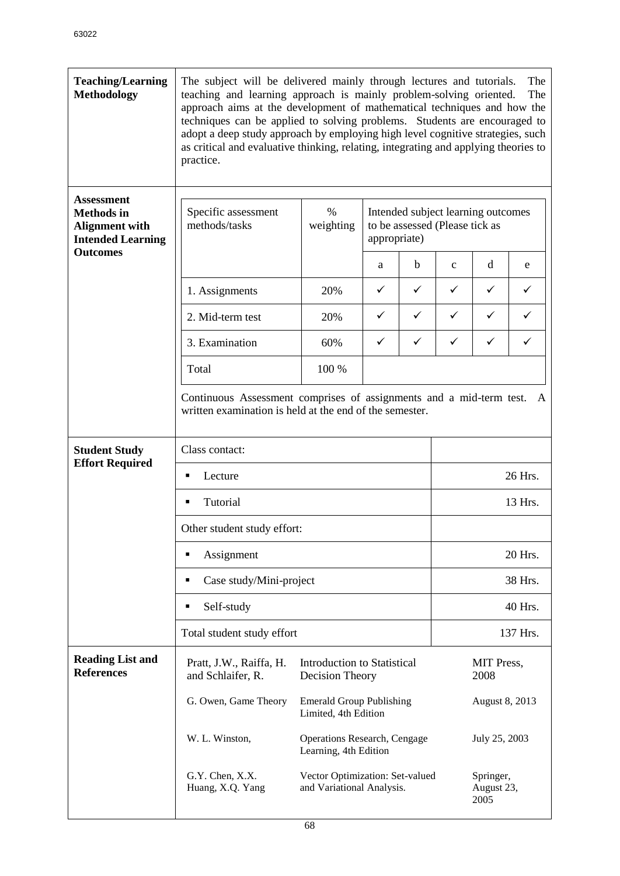| <b>Teaching/Learning</b><br><b>Methodology</b>                                              | The subject will be delivered mainly through lectures and tutorials.<br>The<br>teaching and learning approach is mainly problem-solving oriented.<br>The<br>approach aims at the development of mathematical techniques and how the<br>techniques can be applied to solving problems. Students are encouraged to<br>adopt a deep study approach by employing high level cognitive strategies, such<br>as critical and evaluative thinking, relating, integrating and applying theories to<br>practice. |                                                         |         |                                                                                      |                    |                                 |   |  |  |
|---------------------------------------------------------------------------------------------|--------------------------------------------------------------------------------------------------------------------------------------------------------------------------------------------------------------------------------------------------------------------------------------------------------------------------------------------------------------------------------------------------------------------------------------------------------------------------------------------------------|---------------------------------------------------------|---------|--------------------------------------------------------------------------------------|--------------------|---------------------------------|---|--|--|
| <b>Assessment</b><br><b>Methods</b> in<br><b>Alignment with</b><br><b>Intended Learning</b> | Specific assessment<br>methods/tasks                                                                                                                                                                                                                                                                                                                                                                                                                                                                   | $\%$<br>weighting                                       |         | Intended subject learning outcomes<br>to be assessed (Please tick as<br>appropriate) |                    |                                 |   |  |  |
| <b>Outcomes</b>                                                                             |                                                                                                                                                                                                                                                                                                                                                                                                                                                                                                        |                                                         | a       | b                                                                                    | $\mathbf{C}$       | d                               | e |  |  |
|                                                                                             | 1. Assignments                                                                                                                                                                                                                                                                                                                                                                                                                                                                                         | 20%                                                     | ✓       | ✓                                                                                    | $\checkmark$       | $\checkmark$                    | ✓ |  |  |
|                                                                                             | 2. Mid-term test                                                                                                                                                                                                                                                                                                                                                                                                                                                                                       | 20%                                                     | ✓       | ✓                                                                                    | $\checkmark$       | ✓                               |   |  |  |
|                                                                                             | 3. Examination                                                                                                                                                                                                                                                                                                                                                                                                                                                                                         | 60%                                                     | ✓       | ✓                                                                                    | ✓                  | ✓                               | ✓ |  |  |
|                                                                                             | Total                                                                                                                                                                                                                                                                                                                                                                                                                                                                                                  | 100 %                                                   |         |                                                                                      |                    |                                 |   |  |  |
|                                                                                             | Continuous Assessment comprises of assignments and a mid-term test.<br>A<br>written examination is held at the end of the semester.                                                                                                                                                                                                                                                                                                                                                                    |                                                         |         |                                                                                      |                    |                                 |   |  |  |
| <b>Student Study</b><br><b>Effort Required</b>                                              | Class contact:                                                                                                                                                                                                                                                                                                                                                                                                                                                                                         |                                                         |         |                                                                                      |                    |                                 |   |  |  |
|                                                                                             | Lecture<br>$\blacksquare$                                                                                                                                                                                                                                                                                                                                                                                                                                                                              |                                                         |         |                                                                                      | 26 Hrs.            |                                 |   |  |  |
|                                                                                             | Tutorial<br>Ξ                                                                                                                                                                                                                                                                                                                                                                                                                                                                                          |                                                         | 13 Hrs. |                                                                                      |                    |                                 |   |  |  |
|                                                                                             | Other student study effort:                                                                                                                                                                                                                                                                                                                                                                                                                                                                            |                                                         |         |                                                                                      |                    |                                 |   |  |  |
|                                                                                             | Assignment<br>$\blacksquare$                                                                                                                                                                                                                                                                                                                                                                                                                                                                           |                                                         | 20 Hrs. |                                                                                      |                    |                                 |   |  |  |
|                                                                                             | Case study/Mini-project<br>٠                                                                                                                                                                                                                                                                                                                                                                                                                                                                           |                                                         | 38 Hrs. |                                                                                      |                    |                                 |   |  |  |
|                                                                                             | Self-study<br>٠                                                                                                                                                                                                                                                                                                                                                                                                                                                                                        |                                                         |         |                                                                                      | 40 Hrs.            |                                 |   |  |  |
|                                                                                             | Total student study effort                                                                                                                                                                                                                                                                                                                                                                                                                                                                             |                                                         |         |                                                                                      | 137 Hrs.           |                                 |   |  |  |
| <b>Reading List and</b><br><b>References</b>                                                | Pratt, J.W., Raiffa, H.<br><b>Introduction to Statistical</b><br>and Schlaifer, R.<br>Decision Theory                                                                                                                                                                                                                                                                                                                                                                                                  |                                                         |         |                                                                                      | MIT Press,<br>2008 |                                 |   |  |  |
|                                                                                             | G. Owen, Game Theory                                                                                                                                                                                                                                                                                                                                                                                                                                                                                   | <b>Emerald Group Publishing</b><br>Limited, 4th Edition |         |                                                                                      | August 8, 2013     |                                 |   |  |  |
|                                                                                             | W. L. Winston,<br><b>Operations Research, Cengage</b><br>Learning, 4th Edition<br>G.Y. Chen, X.X.<br>Vector Optimization: Set-valued<br>Huang, X.Q. Yang<br>and Variational Analysis.                                                                                                                                                                                                                                                                                                                  |                                                         |         |                                                                                      |                    | July 25, 2003                   |   |  |  |
|                                                                                             |                                                                                                                                                                                                                                                                                                                                                                                                                                                                                                        |                                                         |         |                                                                                      |                    | Springer,<br>August 23,<br>2005 |   |  |  |